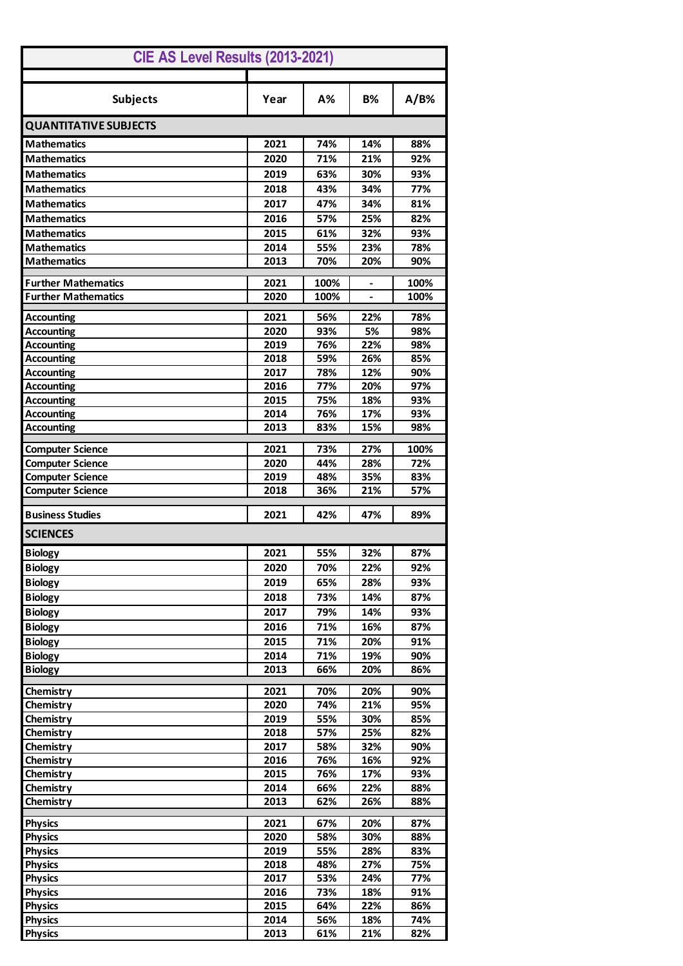| CIE AS Level Results (2013-2021)                   |              |            |            |             |  |  |
|----------------------------------------------------|--------------|------------|------------|-------------|--|--|
| <b>Subjects</b>                                    | Year         | A%         | <b>B%</b>  | A/B%        |  |  |
| <b>QUANTITATIVE SUBJECTS</b>                       |              |            |            |             |  |  |
| <b>Mathematics</b>                                 | 2021         | 74%        | 14%        | 88%         |  |  |
| <b>Mathematics</b>                                 | 2020         | 71%        | 21%        | 92%         |  |  |
| <b>Mathematics</b>                                 | 2019         | 63%        | 30%        | 93%         |  |  |
| <b>Mathematics</b>                                 | 2018         | 43%        | 34%        | 77%         |  |  |
| <b>Mathematics</b>                                 | 2017         | 47%        | 34%        | 81%         |  |  |
| <b>Mathematics</b>                                 | 2016         | 57%        | 25%        | 82%         |  |  |
| <b>Mathematics</b>                                 | 2015         | 61%        | 32%        | 93%         |  |  |
| <b>Mathematics</b>                                 | 2014         | 55%        | 23%        | 78%         |  |  |
| <b>Mathematics</b>                                 | 2013         | 70%        | 20%        | 90%         |  |  |
| <b>Further Mathematics</b>                         | 2021         | 100%       |            | 100%        |  |  |
| <b>Further Mathematics</b>                         | 2020         | 100%       |            | 100%        |  |  |
|                                                    |              |            |            |             |  |  |
| <b>Accounting</b>                                  | 2021         | 56%        | 22%        | 78%         |  |  |
| <b>Accounting</b>                                  | 2020         | 93%        | 5%         | 98%         |  |  |
| <b>Accounting</b>                                  | 2019         | 76%        | 22%        | 98%         |  |  |
| <b>Accounting</b><br><b>Accounting</b>             | 2018<br>2017 | 59%<br>78% | 26%<br>12% | 85%<br>90%  |  |  |
| <b>Accounting</b>                                  | 2016         | 77%        | 20%        | 97%         |  |  |
| <b>Accounting</b>                                  | 2015         | 75%        | 18%        | 93%         |  |  |
| <b>Accounting</b>                                  | 2014         | 76%        | 17%        | 93%         |  |  |
| <b>Accounting</b>                                  | 2013         | 83%        | 15%        | 98%         |  |  |
|                                                    | 2021         | 73%        | 27%        |             |  |  |
| <b>Computer Science</b><br><b>Computer Science</b> | 2020         | 44%        | 28%        | 100%<br>72% |  |  |
| <b>Computer Science</b>                            | 2019         | 48%        | 35%        | 83%         |  |  |
| <b>Computer Science</b>                            | 2018         | 36%        | 21%        | 57%         |  |  |
| <b>Business Studies</b>                            | 2021         | 42%        | 47%        | 89%         |  |  |
| <b>SCIENCES</b>                                    |              |            |            |             |  |  |
| <b>Biology</b>                                     | 2021         | 55%        | 32%        | 87%         |  |  |
| <b>Biology</b>                                     | 2020         | 70%        | 22%        | 92%         |  |  |
| <b>Biology</b>                                     | 2019         | 65%        | 28%        | 93%         |  |  |
| <b>Biology</b>                                     | 2018         | 73%        | 14%        | 87%         |  |  |
| <b>Biology</b>                                     | 2017         | 79%        | 14%        | 93%         |  |  |
| <b>Biology</b>                                     | 2016         | 71%        | 16%        | 87%         |  |  |
| <b>Biology</b>                                     |              | 71%        |            | 91%         |  |  |
| <b>Biology</b>                                     | 2015<br>2014 | 71%        | 20%<br>19% | 90%         |  |  |
| <b>Biology</b>                                     | 2013         | 66%        | 20%        | 86%         |  |  |
|                                                    |              |            |            |             |  |  |
| Chemistry                                          | 2021         | 70%        | 20%        | 90%         |  |  |
| Chemistry                                          | 2020         | 74%        | 21%        | 95%         |  |  |
| Chemistry                                          | 2019         | 55%        | 30%        | 85%         |  |  |
| Chemistry                                          | 2018         | 57%        | 25%        | 82%         |  |  |
| Chemistry                                          | 2017         | 58%        | 32%        | 90%         |  |  |
| Chemistry                                          | 2016         | 76%        | 16%        | 92%         |  |  |
| Chemistry                                          | 2015         | 76%        | 17%        | 93%         |  |  |
| Chemistry<br>Chemistry                             | 2014<br>2013 | 66%<br>62% | 22%<br>26% | 88%<br>88%  |  |  |
|                                                    |              |            |            |             |  |  |
| <b>Physics</b>                                     | 2021         | 67%        | 20%        | 87%         |  |  |
| <b>Physics</b>                                     | 2020         | 58%        | 30%        | 88%         |  |  |
| <b>Physics</b>                                     | 2019         | 55%        | 28%        | 83%         |  |  |
| <b>Physics</b>                                     | 2018         | 48%        | 27%        | 75%         |  |  |
| <b>Physics</b>                                     | 2017         | 53%        | 24%<br>18% | 77%<br>91%  |  |  |
| <b>Physics</b><br><b>Physics</b>                   | 2016<br>2015 | 73%<br>64% | 22%        | 86%         |  |  |
| <b>Physics</b>                                     | 2014         | 56%        | 18%        | 74%         |  |  |
| <b>Physics</b>                                     | 2013         | 61%        | 21%        | 82%         |  |  |